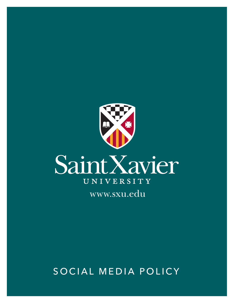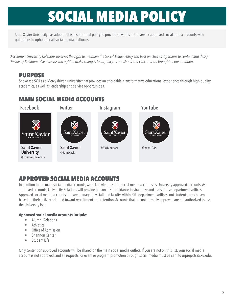Saint Xavier University has adopted this institutional policy to provide stewards of University-approved social media accounts with guidelines to uphold for all social media platforms.

*Disclaimer: University Relations reserves the right to maintain the Social Media Policy and best practice as it pertains to content and design. University Relations also reserves the right to make changes to its policy as questions and concerns are brought to our attention.* 

## PURPOSE

Showcase SXU as a Mercy-driven university that provides an affordable, transformative educational experience through high-quality academics, as well as leadership and service opportunities.

## MAIN SOCIAL MEDIA ACCOUNTS



## APPROVED SOCIAL MEDIA ACCOUNTS

In addition to the main social media accounts, we acknowledge some social media accounts as University-approved accounts. As approved accounts, University Relations will provide personalized guidance to strategize and assist those departments/offices. Approved social media accounts that are managed by staff and faculty within SXU departments/offices, not students, are chosen based on their activity oriented toward recruitment and retention. Accounts that are not formally approved are not authorized to use the University logo.

### **Approved social media accounts include:**

- Alumni Relations
- **Athletics**
- Office of Admission
- Shannon Center
- Student Life

Only content on approved accounts will be shared on the main social media outlets. If you are not on this list, your social media account is not approved, and all requests for event or program promotion through social media must be sent to urprojects@sxu.edu.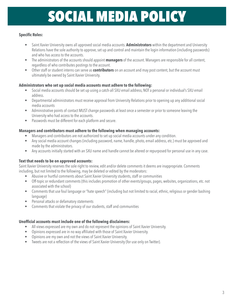### **Specific Roles:**

- Saint Xavier University owns all approved social media accounts. **Administrators** within the department and University Relations have the sole authority to approve, set up and control and maintain the login information (including passwords) and who has access to the accounts.
- The administrators of the accounts should appoint **managers** of the account. Managers are responsible for all content, regardless of who contributes postings to the account.
- Other staff or student interns can serve as **contributors** on an account and may post content, but the account must ultimately be owned by Saint Xavier University.

#### **Administrators who set up social media accounts must adhere to the following:**

- Social media accounts should be set up using a catch-all SXU email address, NOT a personal or individual's SXU email address.
- Departmental administrators must receive approval from University Relations prior to opening up any additional social media accounts
- Administrative points of contact MUST change passwords at least once a semester or prior to someone leaving the University who had access to the accounts.
- Passwords must be different for each platform and secure.

#### **Managers and contributors must adhere to the following when managing accounts:**

- Managers and contributors are not authorized to set up social media accounts under any condition.
- Any social media account changes (including password, name, handle, photo, email address, etc.) must be approved and made by the administrators.
- Any accounts initially started with an SXU name and handle cannot be altered or repurposed for personal use in any case.

### **Text that needs to be on approved accounts:**

Saint Xavier University reserves the sole right to review, edit and/or delete comments it deems are inappropriate. Comments including, but not limited to the following, may be deleted or edited by the moderators:

- Abusive or hurtful comments about Saint Xavier University students, staff or communities
- Off-topic or redundant comments (this includes promotion of other events/groups, pages, websites, organizations, etc. not associated with the school)
- Comments that use foul language or "hate speech" (including but not limited to racial, ethnic, religious or gender bashing language)
- Personal attacks or defamatory statements
- Comments that violate the privacy of our students, staff and communities

#### **Unofficial accounts must include one of the following disclaimers:**

- All views expressed are my own and do not represent the opinions of Saint Xavier University.
- Opinions expressed are in no way affiliated with those of Saint Xavier University.
- Opinions are my own and not the views of Saint Xavier University.
- Tweets are not a reflection of the views of Saint Xavier University (for use only on Twitter).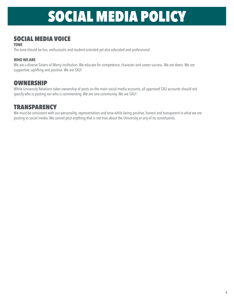## SOCIAL MEDIA VOICE

#### **TONE**

The tone should be fun, enthusiastic and student-oriented yet also educated and professional.

### **WHO WE ARE**

We are a diverse Sisters of Mercy institution. We educate for competence, character and career success. We are doers. We are supportive, uplifting and positive. We are SXU!

## OWNERSHIP

While University Relations takes ownership of posts on the main social media accounts, all approved SXU accounts should not specify who is posting nor who is commenting. We are one community. We are SXU!

## **TRANSPARENCY**

We must be consistent with our personality, representation and tone while being positive, honest and transparent in what we are posting to social media. We cannot post anything that is not true about the University or any of its constituents.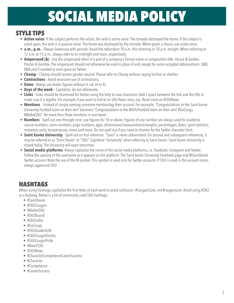## STYLE TIPS

- **Active voice:** If the subject performs the action, the verb is active voice: The tornado destroyed the home. If the subject is acted upon, the verb is in passive voice: The home was destroyed by the tornado. When given a choice, use active voice.
- **a.m., p.m.** Always lowercase with periods. Avoid the redundant 10 a.m. this morning or 10 p.m. tonight. When referring to 12 a.m. or 12 p.m., always refer to as midnight and noon, respectively.
- **Ampersand (&)** Use the ampersand when it is part of a company's formal name or composition title: House & Garden, Procter & Gamble. The ampersand should not otherwise be used in place of and, except for some accepted abbreviations: B&B, R&B and if needed to save space on Twitter.
- **Champ** Champ should remain gender neutral. Please refer to Champ without saying he/him or she/her.
- **Contractions** Avoid excessive use of contractions.
- **Dates** Always use Arabic figures without st, nd, rd or th.
- **Days of the week** Capitalize; do not abbreviate.
- **Links** Links should be shortened for Twitter using the bitly to save characters. Add a space between the link and the URL to make sure it is legible. For example if you want to link to an SXU News story, say: Read more on #SXUNews.
- **Mentions** Instead of simply naming someone mention/tag their account. For example: "Congratulations to the Saint Xavier University Football team on their win" becomes "Congratulations to the @SXUFootball team on their win! #GoCougs #WeAreSXU". No more than three mentions in one tweet.
- **Numbers** Spell out one through nine; use figures for 10 or above. Figures of any number are always used for academic course numbers, room numbers, page numbers, ages, dimensions/measurements/weights, percentages, dates, sport statistics, monetary units, temperatures, times and more. Do not spell out if you need to shorten for the Twitter character limit.
- **Saint Xavier University** Spell out on first reference. "Saint" is never abbreviated. On second and subsequent references, it may be referred to as "Saint Xavier" or "SXU." Capitalize "University" when referring to Saint Xavier: Saint Xavier University is closed today. The University will open tomorrow.
- **Social media platforms** Always capitalize the name of the social media platforms, i.e. Facebook, Instagram and Twitter. Follow the spacing of the username as it appears on the platform: The Saint Xavier University Facebook page and @SaintXavier Twitter account. Note the use of the @ symbol. This symbol is used only for Twitter accounts. If SXU is used in the account name, always uppercase SXU.

## HASHTAGS

When using hashtags, capitalize the first letter of each word to avoid confusion: #CougarsCare, not #cougarscare. Avoid using #SXU as a hashtag. Below is a list of commonly used SXU hashtags:

- #SaintXavier
- #SXUCougars
- #WeAreSXU
- #SXUBound
- #SXUSelfie
- #GoCougs
- #SXUStudentLife
- #SXUCougarDiaries
- #SXUCougarPride
- #New2SXU
- #SXUNews
- #CharacterCompetenceCareerSuccess
- #Character
- #Competence
- #CareerSuccess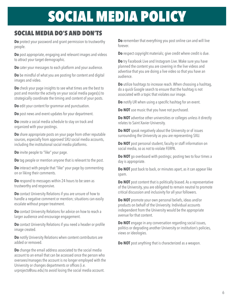## SOCIAL MEDIA DO'S AND DON'TS

**Do** protect your password and grant permission to trustworthy people.

**Do** post appropriate, engaging and relevant images and videos to attract your target demographic.

**Do** cater your messages to each platform and your audience.

**Do** be mindful of what you are posting for content and digital images and video.

**Do** check your page insights to see what times are the best to post and monitor the activity on your social media pages(s) to strategically coordinate the timing and content of your posts.

**Do** edit your content for grammar and punctuation.

**Do** post news and event updates for your department.

**Do** create a social media schedule to stay on track and organized with your postings.

**Do** share appropriate posts on your page from other reputable sources, especially from approved SXU social media accounts, including the institutional social media platforms.

**Do** invite people to "like" your page.

**Do** tag people or mention anyone that is relevant to the post.

**Do** interact with people that "like" your page by commenting on or liking their comments.

**Do** respond to messages within 24 hours to be seen as trustworthy and responsive.

**Do** contact University Relations if you are unsure of how to handle a negative comment or mention; situations can easily escalate without proper treatment.

**Do** contact University Relations for advice on how to reach a larger audience and encourage engagement.

**Do** contact University Relations if you need a header or profile image created.

**Do** notify University Relations when content contributors are added or removed.

**Do** change the email address associated to the social media account to an email that can be accessed once the person who oversees/manages the account is no longer employed with the University or changes departments or offices (i.e.

urprojects@sxu.edu) to avoid losing the social media account.

**Do** remember that everything you post online can and will live forever.

**Do** respect copyright materials; give credit where credit is due.

**Do** try Facebook Live and Instagram Live. Make sure you have planned the content you are covering in the live videos and advertise that you are doing a live video so that you have an audience.

**Do** utilize hashtags to increase reach. When choosing a hashtag, do a quick Google search to ensure that the hashtag is not associated with a topic that violates our image.

**Do** notify UR when using a specific hashtag for an event.

**Do NOT** use music that you have not purchased.

**Do NOT** advertise other universities or colleges unless it directly relates to Saint Xavier University.

**Do NOT** speak negatively about the University or of issues surrounding the University as you are representing SXU.

**Do NOT** post personal student, faculty or staff information on social media, so as not to violate FERPA.

**Do NOT** go overboard with postings; posting two to four times a day is appropriate.

**Do NOT** post back to back, or minutes apart, as it can appear like spam.

**Do NOT** post content that is politically biased. As a representative of the University, you are obligated to remain neutral to promote critical discussion and inclusivity for all your followers.

**Do NOT** promote your own personal beliefs, ideas and/or products on behalf of the University. Individual accounts independent from the University would be the appropriate avenue for that content.

**Do NOT** engage in any conversation regarding social issues, politics or degrading another University or institution's policies, views or ideologies.

**Do NOT** post anything that is characterized as a weapon.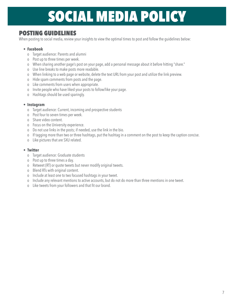## POSTING GUIDELINES

When posting to social media, review your insights to view the optimal times to post and follow the guidelines below:

#### • **Facebook**

- o Target audience: Parents and alumni
- o Post up to three times per week.
- o When sharing another page's post on your page, add a personal message about it before hitting "share."
- o Use line breaks to make posts more readable.
- o When linking to a web page or website, delete the text URL from your post and utilize the link preview.
- o Hide spam comments from posts and the page.
- o Like comments from users when appropriate.
- o Invite people who have liked your posts to follow/like your page.
- o Hashtags should be used sparingly.

#### • **Instagram**

- o Target audience: Current, incoming and prospective students
- o Post four to seven times per week.
- o Share video content.
- o Focus on the University experience.
- o Do not use links in the posts; if needed, use the link in the bio.
- o If tagging more than two or three hashtags, put the hashtag in a comment on the post to keep the caption concise.
- o Like pictures that are SXU related.

#### • **Twitter**

- o Target audience: Graduate students
- o Post up to three times a day.
- o Retweet (RT) or quote tweets but never modify original tweets.
- o Blend RTs with original content.
- o Include at least one to two focused hashtags in your tweet.
- o Include any relevant mentions to active accounts, but do not do more than three mentions in one tweet.
- o Like tweets from your followers and that fit our brand.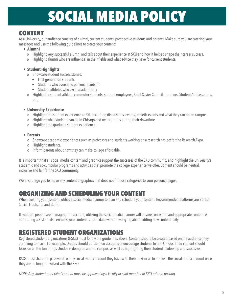## CONTENT

As a University, our audience consists of alumni, current students, prospective students and parents. Make sure you are catering your messages and use the following guidelines to create your content:

- **Alumni**
	- o Highlight very successful alumni and talk about their experience at SXU and how it helped shape their career success.
	- o Highlight alumni who are influential in their fields and what advice they have for current students.

### • **Student Highlights**

- o Showcase student success stories:
	- First-generation students
	- Students who overcame personal hardship
	- Student athletes who excel academically
- o Highlight a student-athlete, commuter students, student employees, Saint Xavier Council members, Student Ambassadors, etc.

### • **University Experience**

- o Highlight the student experience at SXU including discussions, events, athletic events and what they can do on campus.
- o Highlight what students can do in Chicago and near campus during their downtime.
- o Highlight the graduate student experience.

### • **Parents**

- o Showcase academic experiences such as professors and students working on a research project for the Research Expo.
- o Highlight students.
- o Inform parents about how they can make college affordable.

It is important that all social media content and graphics support the successes of the SXU community and highlight the University's academic and co-curricular programs and activities that promote the college experience we offer. Content should be neutral, inclusive and fair for the SXU community.

We encourage you to move any content or graphics that does not fit these categories to your personal pages.

## ORGANIZING AND SCHEDULING YOUR CONTENT

When creating your content, utilize a social media planner to plan and schedule your content. Recommended platforms are Sprout Social, Hootsuite and Buffer.

If multiple people are managing the account, utilizing the social media planner will ensure consistent and appropriate content. A scheduling assistant also ensures your content is up to date without worrying about adding new content daily.

## REGISTERED STUDENT ORGANIZATIONS

Registered student organizations (RSOs) must follow the guidelines above. Content should be created based on the audience they are trying to reach. For example, Unidos should utilize their accounts to encourage students to join Unidos. Their content should focus on all the fun things Unidos is doing on and off campus, as well as highlighting their student leadership and successes.

RSOs must share the passwords of any social media account they have with their advisor as to not lose the social media account once they are no longer involved with the RSO.

*NOTE: Any student-generated content must be approved by a faculty or staff member of SXU prior to posting.*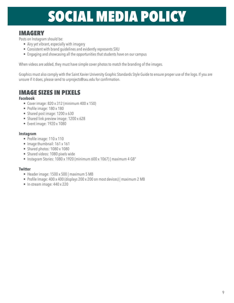## IMAGERY

Posts on Instagram should be:

- Airy yet vibrant, especially with imagery
- Consistent with brand guidelines and evidently represents SXU
- Engaging and showcasing all the opportunities that students have on our campus

When videos are added, they must have simple cover photos to match the branding of the images.

Graphics must also comply with the Saint Xavier University Graphic Standards Style Guide to ensure proper use of the logo. If you are unsure if it does, please send to urprojects@sxu.edu for confirmation.

## IMAGE SIZES IN PIXELS

#### **Facebook**

- Cover image: 820 x 312 (minimum 400 x 150)
- Profile image: 180 x 180
- Shared post image: 1200 x 630
- Shared link preview image: 1200 x 628
- Event image: 1920 x 1080

#### **Instagram**

- Profile image: 110 x 110
- Image thumbnail: 161 x 161
- Shared photos: 1080 x 1080
- Shared videos: 1080 pixels wide
- Instagram Stories: 1080 x 1920 (minimum 600 x 1067) | maximum 4 GB"

### **Twitter**

- Header image: 1500 x 500 | maximum 5 MB
- Profile Image: 400 x 400 (displays 200 x 200 on most devices) | maximum 2 MB
- In-stream image: 440 x 220